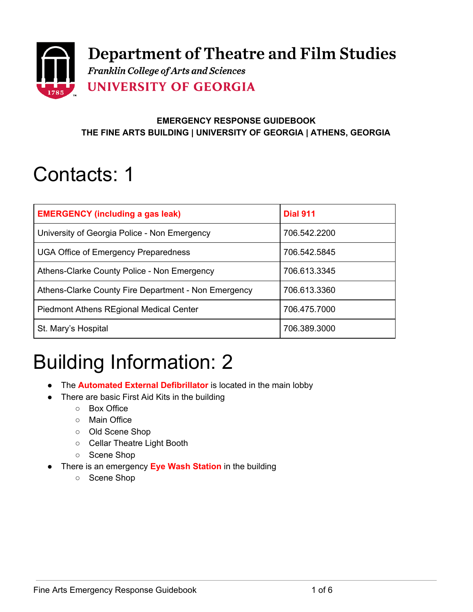

#### **EMERGENCY RESPONSE GUIDEBOOK THE FINE ARTS BUILDING | UNIVERSITY OF GEORGIA | ATHENS, GEORGIA**

## Contacts: 1

| <b>EMERGENCY (including a gas leak)</b>              | <b>Dial 911</b> |
|------------------------------------------------------|-----------------|
| University of Georgia Police - Non Emergency         | 706.542.2200    |
| <b>UGA Office of Emergency Preparedness</b>          | 706.542.5845    |
| Athens-Clarke County Police - Non Emergency          | 706.613.3345    |
| Athens-Clarke County Fire Department - Non Emergency | 706.613.3360    |
| <b>Piedmont Athens REgional Medical Center</b>       | 706.475.7000    |
| St. Mary's Hospital                                  | 706.389.3000    |

## Building Information: 2

- The **Automated External Defibrillator** is located in the main lobby
- There are basic First Aid Kits in the building
	- Box Office
	- Main Office
	- Old Scene Shop
	- Cellar Theatre Light Booth
	- Scene Shop
- There is an emergency **Eye Wash Station** in the building
	- Scene Shop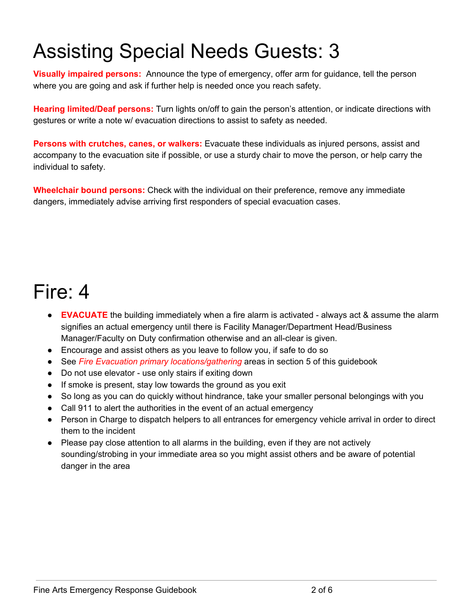# Assisting Special Needs Guests: 3

**Visually impaired persons:** Announce the type of emergency, offer arm for guidance, tell the person where you are going and ask if further help is needed once you reach safety.

**Hearing limited/Deaf persons:** Turn lights on/off to gain the person's attention, or indicate directions with gestures or write a note w/ evacuation directions to assist to safety as needed.

**Persons with crutches, canes, or walkers:** Evacuate these individuals as injured persons, assist and accompany to the evacuation site if possible, or use a sturdy chair to move the person, or help carry the individual to safety.

**Wheelchair bound persons:** Check with the individual on their preference, remove any immediate dangers, immediately advise arriving first responders of special evacuation cases.

## Fire: 4

- **EVACUATE** the building immediately when a fire alarm is activated always act & assume the alarm signifies an actual emergency until there is Facility Manager/Department Head/Business Manager/Faculty on Duty confirmation otherwise and an all-clear is given.
- Encourage and assist others as you leave to follow you, if safe to do so
- See *Fire Evacuation primary locations/gathering* areas in section 5 of this guidebook
- Do not use elevator use only stairs if exiting down
- If smoke is present, stay low towards the ground as you exit
- So long as you can do quickly without hindrance, take your smaller personal belongings with you
- Call 911 to alert the authorities in the event of an actual emergency
- Person in Charge to dispatch helpers to all entrances for emergency vehicle arrival in order to direct them to the incident
- Please pay close attention to all alarms in the building, even if they are not actively sounding/strobing in your immediate area so you might assist others and be aware of potential danger in the area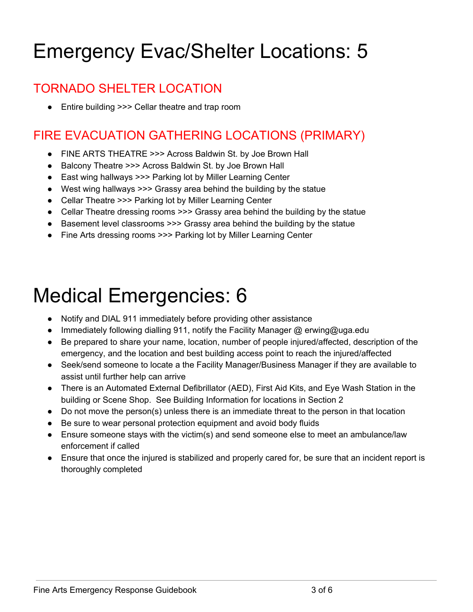# Emergency Evac/Shelter Locations: 5

### TORNADO SHELTER LOCATION

● Entire building >>> Cellar theatre and trap room

### FIRE EVACUATION GATHERING LOCATIONS (PRIMARY)

- FINE ARTS THEATRE >>> Across Baldwin St. by Joe Brown Hall
- Balcony Theatre >>> Across Baldwin St. by Joe Brown Hall
- East wing hallways >>> Parking lot by Miller Learning Center
- West wing hallways >>> Grassy area behind the building by the statue
- Cellar Theatre >>> Parking lot by Miller Learning Center
- Cellar Theatre dressing rooms >>> Grassy area behind the building by the statue
- Basement level classrooms >>> Grassy area behind the building by the statue
- Fine Arts dressing rooms >>> Parking lot by Miller Learning Center

## Medical Emergencies: 6

- Notify and DIAL 911 immediately before providing other assistance
- Immediately following dialling 911, notify the Facility Manager @ erwing@uga.edu
- Be prepared to share your name, location, number of people injured/affected, description of the emergency, and the location and best building access point to reach the injured/affected
- Seek/send someone to locate a the Facility Manager/Business Manager if they are available to assist until further help can arrive
- There is an Automated External Defibrillator (AED), First Aid Kits, and Eye Wash Station in the building or Scene Shop. See Building Information for locations in Section 2
- Do not move the person(s) unless there is an immediate threat to the person in that location
- Be sure to wear personal protection equipment and avoid body fluids
- Ensure someone stays with the victim(s) and send someone else to meet an ambulance/law enforcement if called
- Ensure that once the injured is stabilized and properly cared for, be sure that an incident report is thoroughly completed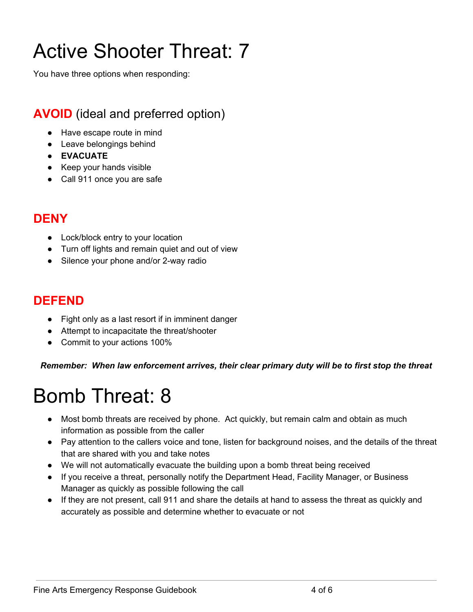# Active Shooter Threat: 7

You have three options when responding:

### **AVOID** (ideal and preferred option)

- Have escape route in mind
- Leave belongings behind
- **● EVACUATE**
- Keep your hands visible
- Call 911 once you are safe

#### **DENY**

- Lock/block entry to your location
- Turn off lights and remain quiet and out of view
- Silence your phone and/or 2-way radio

#### **DEFEND**

- Fight only as a last resort if in imminent danger
- Attempt to incapacitate the threat/shooter
- Commit to your actions 100%

*Remember: When law enforcement arrives, their clear primary duty will be to first stop the threat*

### Bomb Threat: 8

- Most bomb threats are received by phone. Act quickly, but remain calm and obtain as much information as possible from the caller
- Pay attention to the callers voice and tone, listen for background noises, and the details of the threat that are shared with you and take notes
- We will not automatically evacuate the building upon a bomb threat being received
- If you receive a threat, personally notify the Department Head, Facility Manager, or Business Manager as quickly as possible following the call
- If they are not present, call 911 and share the details at hand to assess the threat as quickly and accurately as possible and determine whether to evacuate or not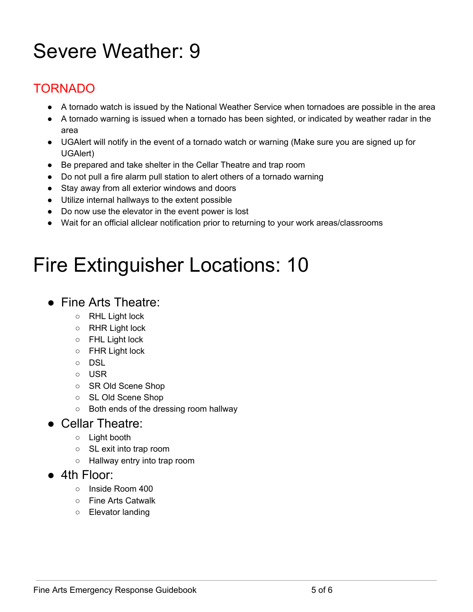# Severe Weather: 9

### TORNADO

- A tornado watch is issued by the National Weather Service when tornadoes are possible in the area
- A tornado warning is issued when a tornado has been sighted, or indicated by weather radar in the area
- UGAlert will notify in the event of a tornado watch or warning (Make sure you are signed up for UGAlert)
- Be prepared and take shelter in the Cellar Theatre and trap room
- Do not pull a fire alarm pull station to alert others of a tornado warning
- Stay away from all exterior windows and doors
- Utilize internal hallways to the extent possible
- Do now use the elevator in the event power is lost
- Wait for an official allclear notification prior to returning to your work areas/classrooms

## Fire Extinguisher Locations: 10

#### ● Fine Arts Theatre:

- RHL Light lock
- RHR Light lock
- FHL Light lock
- FHR Light lock
- DSL
- USR
- SR Old Scene Shop
- SL Old Scene Shop
- Both ends of the dressing room hallway

#### ● Cellar Theatre:

- Light booth
- SL exit into trap room
- Hallway entry into trap room
- 4th Floor:
	- Inside Room 400
	- Fine Arts Catwalk
	- Elevator landing